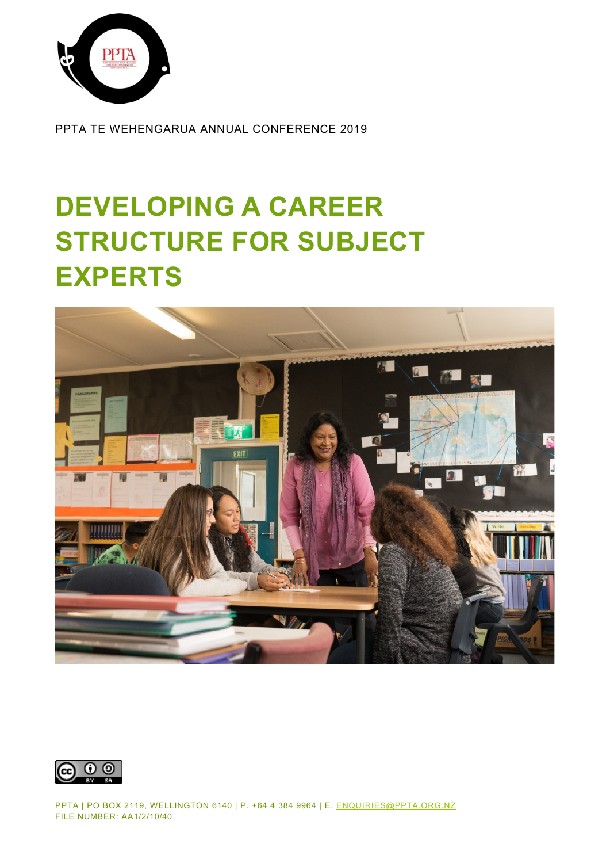

PPTA TE WEHENGARUA ANNUAL CONFERENCE 2019

# **DEVELOPING A CAREER STRUCTURE FOR SUBJECT EXPERTS**





PPTA | PO BOX 2119, WELLINGTON 6140 | P. +64 4 384 9964 | E. [ENQUIRIES@PPTA.ORG.NZ](mailto:enquiries@ppta.org.nz) FILE NUMBER: AA1/2/10/40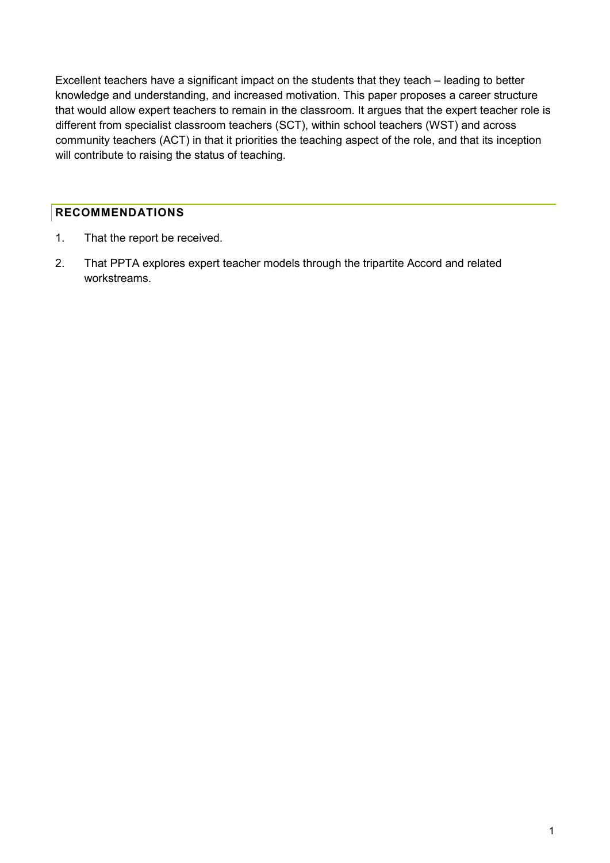Excellent teachers have a significant impact on the students that they teach – leading to better knowledge and understanding, and increased motivation. This paper proposes a career structure that would allow expert teachers to remain in the classroom. It argues that the expert teacher role is different from specialist classroom teachers (SCT), within school teachers (WST) and across community teachers (ACT) in that it priorities the teaching aspect of the role, and that its inception will contribute to raising the status of teaching.

## <span id="page-1-0"></span>**RECOMMENDATIONS**

- 1. That the report be received.
- 2. That PPTA explores expert teacher models through the tripartite Accord and related workstreams.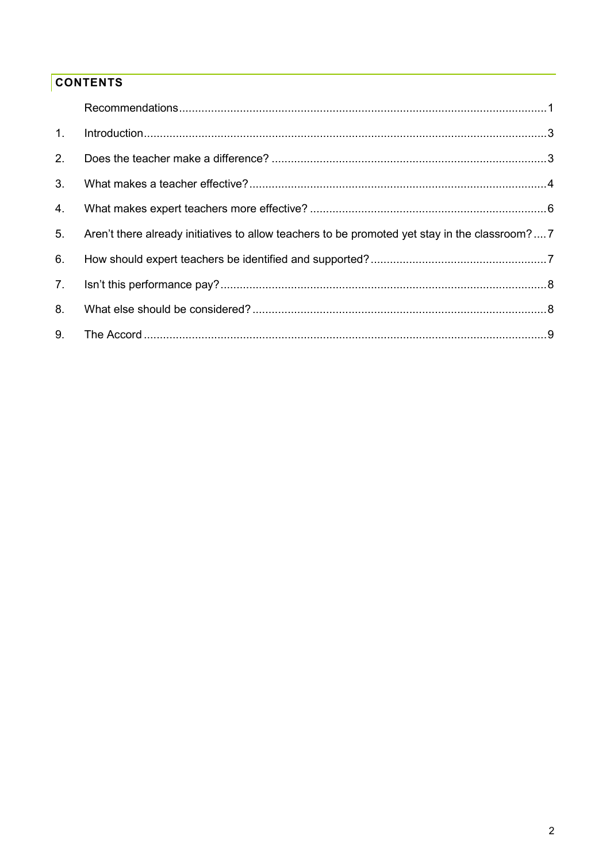# **CONTENTS**

| 1.             | Introduction 33                                                                               |  |
|----------------|-----------------------------------------------------------------------------------------------|--|
| 2.             |                                                                                               |  |
| 3 <sub>1</sub> |                                                                                               |  |
| 4.             |                                                                                               |  |
| 5.             | Aren't there already initiatives to allow teachers to be promoted yet stay in the classroom?7 |  |
| 6.             |                                                                                               |  |
| 7.             |                                                                                               |  |
| 8 <sub>1</sub> |                                                                                               |  |
| 9.             |                                                                                               |  |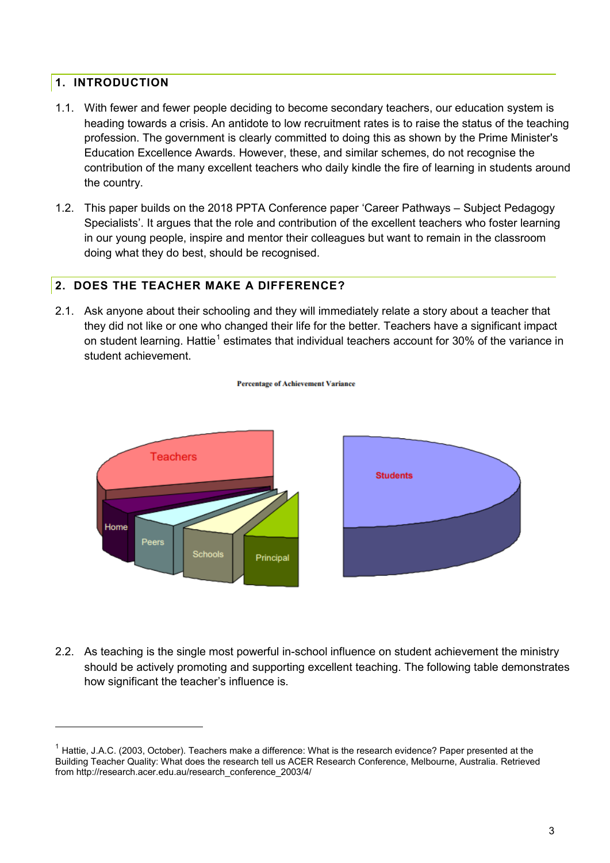## <span id="page-3-0"></span>**1. INTRODUCTION**

-

- 1.1. With fewer and fewer people deciding to become secondary teachers, our education system is heading towards a crisis. An antidote to low recruitment rates is to raise the status of the teaching profession. The government is clearly committed to doing this as shown by the Prime Minister's Education Excellence Awards. However, these, and similar schemes, do not recognise the contribution of the many excellent teachers who daily kindle the fire of learning in students around the country.
- 1.2. This paper builds on the 2018 PPTA Conference paper 'Career Pathways Subject Pedagogy Specialists'. It argues that the role and contribution of the excellent teachers who foster learning in our young people, inspire and mentor their colleagues but want to remain in the classroom doing what they do best, should be recognised.

## <span id="page-3-1"></span>**2. DOES THE TEACHER MAKE A DIFFERENCE?**

2.1. Ask anyone about their schooling and they will immediately relate a story about a teacher that they did not like or one who changed their life for the better. Teachers have a significant impact on student learning. Hattie<sup>[1](#page-3-2)</sup> estimates that individual teachers account for 30% of the variance in student achievement.

**Percentage of Achievement Variance** 



2.2. As teaching is the single most powerful in-school influence on student achievement the ministry should be actively promoting and supporting excellent teaching. The following table demonstrates how significant the teacher's influence is.

<span id="page-3-2"></span> $1$  Hattie, J.A.C. (2003, October). Teachers make a difference: What is the research evidence? Paper presented at the Building Teacher Quality: What does the research tell us ACER Research Conference, Melbourne, Australia. Retrieved from http://research.acer.edu.au/research\_conference\_2003/4/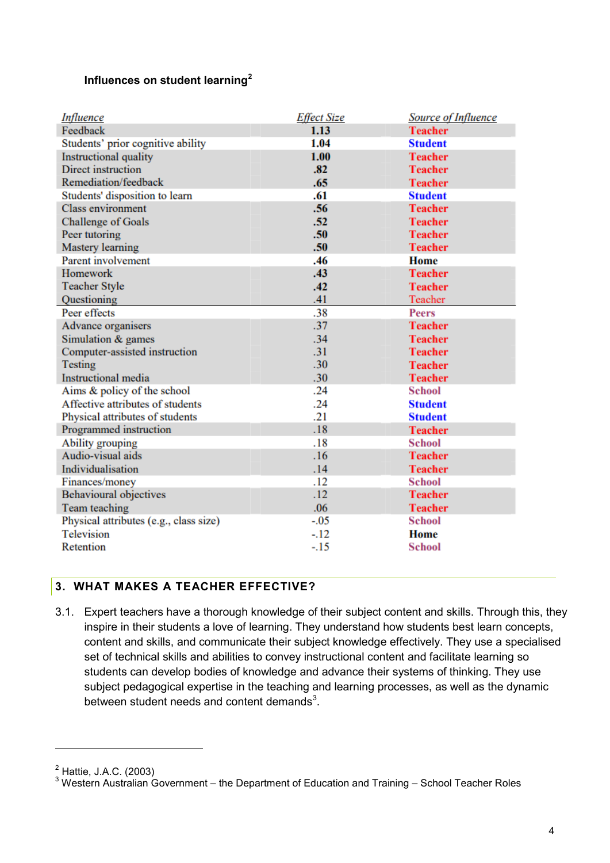### **Influences on student learning[2](#page-4-1)**

| <b>Influence</b>                       | <b>Effect Size</b> | Source of Influence |
|----------------------------------------|--------------------|---------------------|
| Feedback                               | 1.13               | <b>Teacher</b>      |
| Students' prior cognitive ability      | 1.04               | <b>Student</b>      |
| <b>Instructional quality</b>           | 1.00               | <b>Teacher</b>      |
| Direct instruction                     | .82                | <b>Teacher</b>      |
| Remediation/feedback                   | .65                | <b>Teacher</b>      |
| Students' disposition to learn         | .61                | <b>Student</b>      |
| <b>Class environment</b>               | .56                | <b>Teacher</b>      |
| <b>Challenge of Goals</b>              | .52                | <b>Teacher</b>      |
| Peer tutoring                          | .50                | <b>Teacher</b>      |
| Mastery learning                       | .50 <sub>0</sub>   | <b>Teacher</b>      |
| Parent involvement                     | .46                | Home                |
| <b>Homework</b>                        | .43                | <b>Teacher</b>      |
| <b>Teacher Style</b>                   | .42                | <b>Teacher</b>      |
| Questioning                            | .41                | Teacher             |
| Peer effects                           | .38                | <b>Peers</b>        |
| Advance organisers                     | .37                | <b>Teacher</b>      |
| Simulation & games                     | .34                | <b>Teacher</b>      |
| Computer-assisted instruction          | .31                | <b>Teacher</b>      |
| Testing                                | .30                | <b>Teacher</b>      |
| <b>Instructional</b> media             | .30 <sub>0</sub>   | <b>Teacher</b>      |
| Aims & policy of the school            | .24                | School              |
| Affective attributes of students       | .24                | <b>Student</b>      |
| Physical attributes of students        | .21                | <b>Student</b>      |
| Programmed instruction                 | .18                | <b>Teacher</b>      |
| Ability grouping                       | .18                | <b>School</b>       |
| Audio-visual aids                      | .16                | <b>Teacher</b>      |
| Individualisation                      | .14                | <b>Teacher</b>      |
| Finances/money                         | .12                | <b>School</b>       |
| <b>Behavioural objectives</b>          | $.12\,$            | <b>Teacher</b>      |
| Team teaching                          | .06                | <b>Teacher</b>      |
| Physical attributes (e.g., class size) | $-.05$             | <b>School</b>       |
| <b>Television</b>                      | $-.12$             | <b>Home</b>         |
| Retention                              | $-15$              | <b>School</b>       |

## <span id="page-4-0"></span>**3. WHAT MAKES A TEACHER EFFECTIVE?**

3.1. Expert teachers have a thorough knowledge of their subject content and skills. Through this, they inspire in their students a love of learning. They understand how students best learn concepts, content and skills, and communicate their subject knowledge effectively. They use a specialised set of technical skills and abilities to convey instructional content and facilitate learning so students can develop bodies of knowledge and advance their systems of thinking. They use subject pedagogical expertise in the teaching and learning processes, as well as the dynamic between student needs and content demands<sup>[3](#page-4-2)</sup>.

<span id="page-4-1"></span> $2<sup>2</sup>$  Hattie, J.A.C. (2003)

<span id="page-4-2"></span> $^3$  Western Australian Government – the Department of Education and Training – School Teacher Roles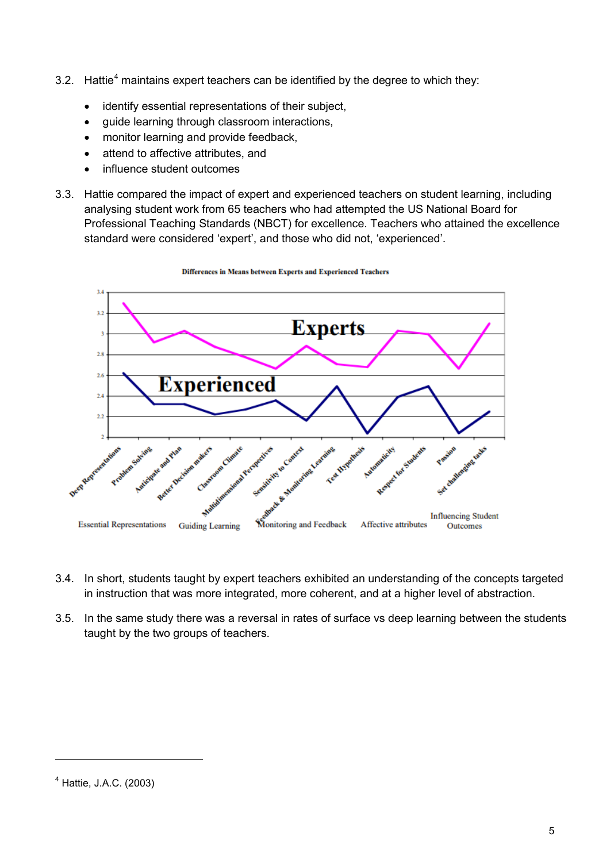- 3.2. Hattie<sup>[4](#page-5-0)</sup> maintains expert teachers can be identified by the degree to which they:
	- identify essential representations of their subject,
	- guide learning through classroom interactions,
	- monitor learning and provide feedback,
	- attend to affective attributes, and
	- influence student outcomes
- 3.3. Hattie compared the impact of expert and experienced teachers on student learning, including analysing student work from 65 teachers who had attempted the US National Board for Professional Teaching Standards (NBCT) for excellence. Teachers who attained the excellence standard were considered 'expert', and those who did not, 'experienced'.



**Differences in Means between Experts and Experienced Teachers** 

- 3.4. In short, students taught by expert teachers exhibited an understanding of the concepts targeted in instruction that was more integrated, more coherent, and at a higher level of abstraction.
- 3.5. In the same study there was a reversal in rates of surface vs deep learning between the students taught by the two groups of teachers.

<span id="page-5-0"></span> $4$  Hattie, J.A.C. (2003)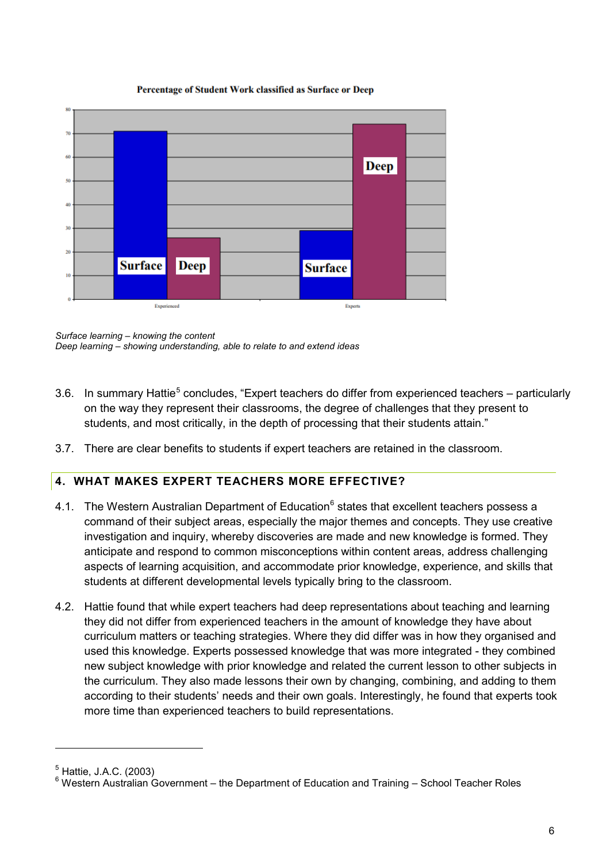#### Percentage of Student Work classified as Surface or Deep



*Surface learning – knowing the content Deep learning – showing understanding, able to relate to and extend ideas*

- 3.6. In summary Hattie<sup>[5](#page-6-1)</sup> concludes, "Expert teachers do differ from experienced teachers particularly on the way they represent their classrooms, the degree of challenges that they present to students, and most critically, in the depth of processing that their students attain."
- 3.7. There are clear benefits to students if expert teachers are retained in the classroom.

# <span id="page-6-0"></span>**4. WHAT MAKES EXPERT TEACHERS MORE EFFECTIVE?**

- 4.1. The Western Australian Department of Education<sup>[6](#page-6-2)</sup> states that excellent teachers possess a command of their subject areas, especially the major themes and concepts. They use creative investigation and inquiry, whereby discoveries are made and new knowledge is formed. They anticipate and respond to common misconceptions within content areas, address challenging aspects of learning acquisition, and accommodate prior knowledge, experience, and skills that students at different developmental levels typically bring to the classroom.
- 4.2. Hattie found that while expert teachers had deep representations about teaching and learning they did not differ from experienced teachers in the amount of knowledge they have about curriculum matters or teaching strategies. Where they did differ was in how they organised and used this knowledge. Experts possessed knowledge that was more integrated - they combined new subject knowledge with prior knowledge and related the current lesson to other subjects in the curriculum. They also made lessons their own by changing, combining, and adding to them according to their students' needs and their own goals. Interestingly, he found that experts took more time than experienced teachers to build representations.

<span id="page-6-1"></span><sup>5</sup> Hattie, J.A.C. (2003)

<span id="page-6-2"></span><sup>6</sup> Western Australian Government – the Department of Education and Training – School Teacher Roles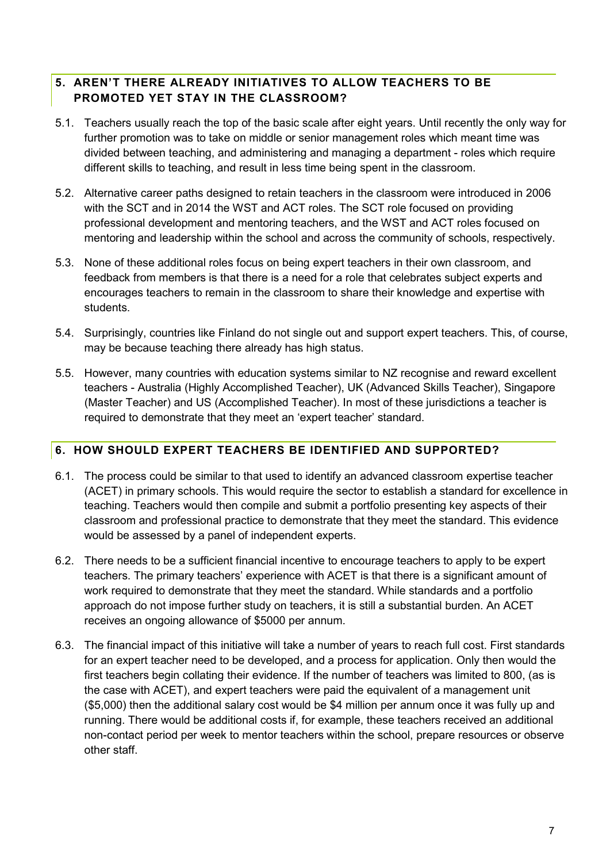## <span id="page-7-0"></span>**5. AREN'T THERE ALREADY INITIATIVES TO ALLOW TEACHERS TO BE PROMOTED YET STAY IN THE CLASSROOM?**

- 5.1. Teachers usually reach the top of the basic scale after eight years. Until recently the only way for further promotion was to take on middle or senior management roles which meant time was divided between teaching, and administering and managing a department - roles which require different skills to teaching, and result in less time being spent in the classroom.
- 5.2. Alternative career paths designed to retain teachers in the classroom were introduced in 2006 with the SCT and in 2014 the WST and ACT roles. The SCT role focused on providing professional development and mentoring teachers, and the WST and ACT roles focused on mentoring and leadership within the school and across the community of schools, respectively.
- 5.3. None of these additional roles focus on being expert teachers in their own classroom, and feedback from members is that there is a need for a role that celebrates subject experts and encourages teachers to remain in the classroom to share their knowledge and expertise with students.
- 5.4. Surprisingly, countries like Finland do not single out and support expert teachers. This, of course, may be because teaching there already has high status.
- 5.5. However, many countries with education systems similar to NZ recognise and reward excellent teachers - Australia (Highly Accomplished Teacher), UK (Advanced Skills Teacher), Singapore (Master Teacher) and US (Accomplished Teacher). In most of these jurisdictions a teacher is required to demonstrate that they meet an 'expert teacher' standard.

## <span id="page-7-1"></span>**6. HOW SHOULD EXPERT TEACHERS BE IDENTIFIED AND SUPPORTED?**

- 6.1. The process could be similar to that used to identify an advanced classroom expertise teacher (ACET) in primary schools. This would require the sector to establish a standard for excellence in teaching. Teachers would then compile and submit a portfolio presenting key aspects of their classroom and professional practice to demonstrate that they meet the standard. This evidence would be assessed by a panel of independent experts.
- 6.2. There needs to be a sufficient financial incentive to encourage teachers to apply to be expert teachers. The primary teachers' experience with ACET is that there is a significant amount of work required to demonstrate that they meet the standard. While standards and a portfolio approach do not impose further study on teachers, it is still a substantial burden. An ACET receives an ongoing allowance of \$5000 per annum.
- 6.3. The financial impact of this initiative will take a number of years to reach full cost. First standards for an expert teacher need to be developed, and a process for application. Only then would the first teachers begin collating their evidence. If the number of teachers was limited to 800, (as is the case with ACET), and expert teachers were paid the equivalent of a management unit (\$5,000) then the additional salary cost would be \$4 million per annum once it was fully up and running. There would be additional costs if, for example, these teachers received an additional non-contact period per week to mentor teachers within the school, prepare resources or observe other staff.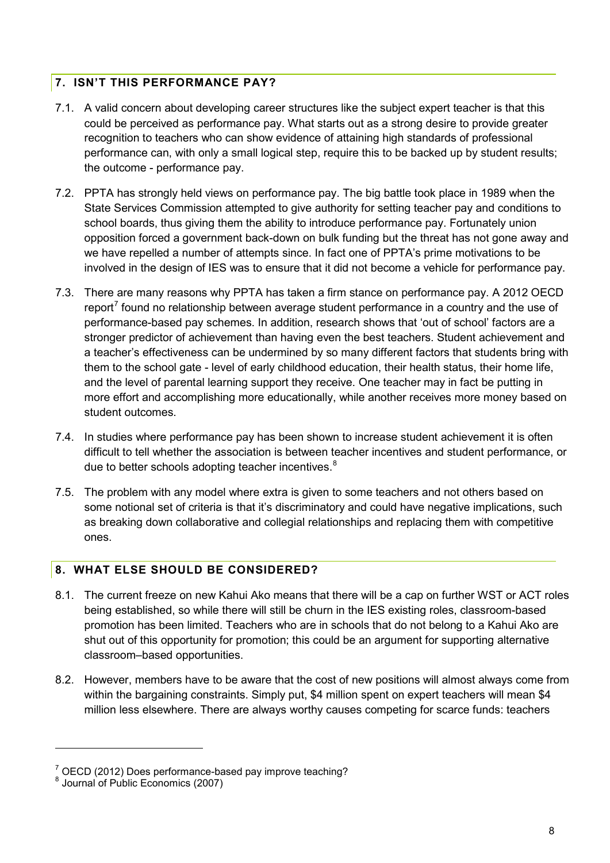## <span id="page-8-0"></span>**7. ISN'T THIS PERFORMANCE PAY?**

- 7.1. A valid concern about developing career structures like the subject expert teacher is that this could be perceived as performance pay. What starts out as a strong desire to provide greater recognition to teachers who can show evidence of attaining high standards of professional performance can, with only a small logical step, require this to be backed up by student results; the outcome - performance pay.
- 7.2. PPTA has strongly held views on performance pay. The big battle took place in 1989 when the State Services Commission attempted to give authority for setting teacher pay and conditions to school boards, thus giving them the ability to introduce performance pay. Fortunately union opposition forced a government back-down on bulk funding but the threat has not gone away and we have repelled a number of attempts since. In fact one of PPTA's prime motivations to be involved in the design of IES was to ensure that it did not become a vehicle for performance pay.
- 7.3. There are many reasons why PPTA has taken a firm stance on performance pay. A 2012 OECD report<sup>[7](#page-8-2)</sup> found no relationship between average student performance in a country and the use of performance-based pay schemes. In addition, research shows that 'out of school' factors are a stronger predictor of achievement than having even the best teachers. Student achievement and a teacher's effectiveness can be undermined by so many different factors that students bring with them to the school gate - level of early childhood education, their health status, their home life, and the level of parental learning support they receive. One teacher may in fact be putting in more effort and accomplishing more educationally, while another receives more money based on student outcomes.
- 7.4. In studies where performance pay has been shown to increase student achievement it is often difficult to tell whether the association is between teacher incentives and student performance, or due to better schools adopting teacher incentives. $^8$  $^8$
- 7.5. The problem with any model where extra is given to some teachers and not others based on some notional set of criteria is that it's discriminatory and could have negative implications, such as breaking down collaborative and collegial relationships and replacing them with competitive ones.

## <span id="page-8-1"></span>**8. WHAT ELSE SHOULD BE CONSIDERED?**

- 8.1. The current freeze on new Kahui Ako means that there will be a cap on further WST or ACT roles being established, so while there will still be churn in the IES existing roles, classroom-based promotion has been limited. Teachers who are in schools that do not belong to a Kahui Ako are shut out of this opportunity for promotion; this could be an argument for supporting alternative classroom–based opportunities.
- 8.2. However, members have to be aware that the cost of new positions will almost always come from within the bargaining constraints. Simply put, \$4 million spent on expert teachers will mean \$4 million less elsewhere. There are always worthy causes competing for scarce funds: teachers

<span id="page-8-2"></span> $\frac{7}{6}$  OECD (2012) Does performance-based pay improve teaching?<br> $\frac{8}{6}$  Journal of Public Economics (2007)

<span id="page-8-3"></span>